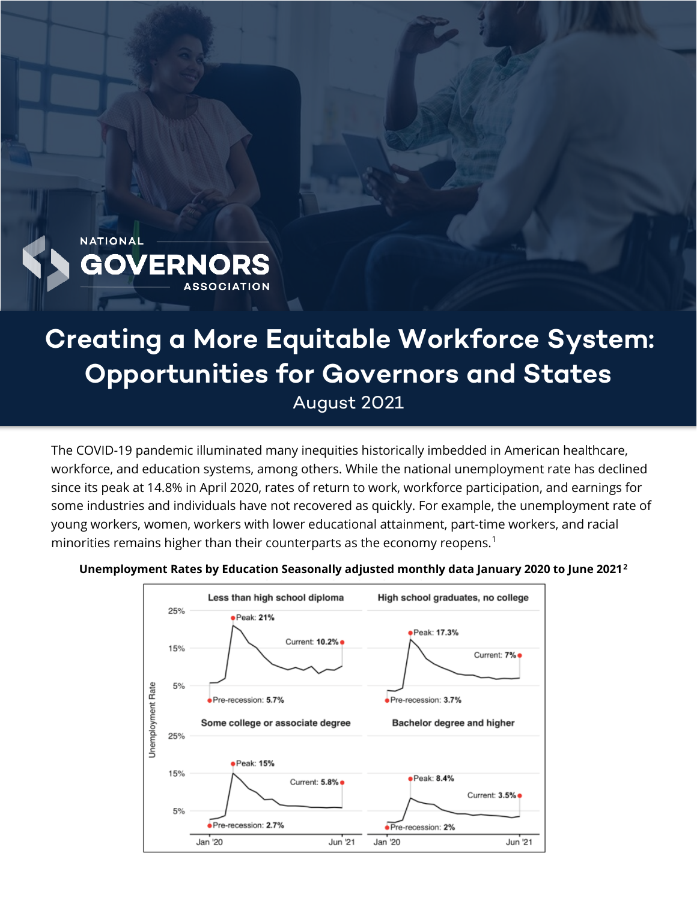

# **Creating a More Equitable Workforce System: Opportunities for Governors and States** August 2021

The COVID-19 pandemic illuminated many inequities historically imbedded in American healthcare, workforce, and education systems, among others. While the national unemployment rate has declined since its peak at 14.8% in April 2020, rates of return to work, workforce participation, and earnings for some industries and individuals have not recovered as quickly. For example, the unemployment rate of young workers, women, workers with lower educational attainment, part-time workers, and racial minorities remains higher than their counterparts as the economy reopens.<sup>[1](#page-9-0)</sup>



**Unemployment Rates by Education Seasonally adjusted monthly data January 2020 to June 2021[2](#page-9-1)**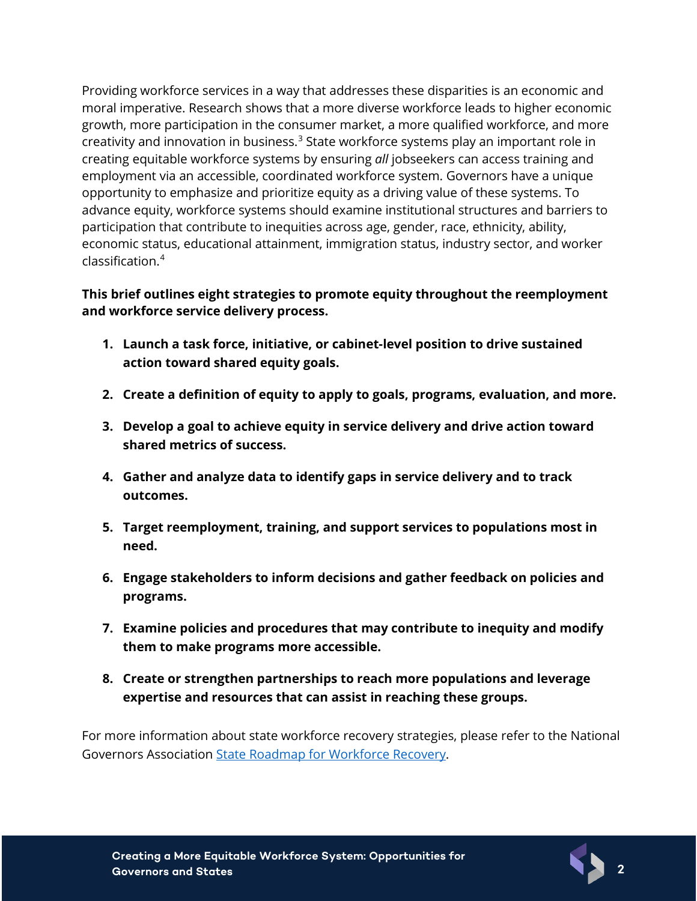Providing workforce services in a way that addresses these disparities is an economic and moral imperative. Research shows that a more diverse workforce leads to higher economic growth, more participation in the consumer market, a more qualified workforce, and more creativity and innovation in business.<sup>[3](#page-9-2)</sup> State workforce systems play an important role in creating equitable workforce systems by ensuring *all* jobseekers can access training and employment via an accessible, coordinated workforce system. Governors have a unique opportunity to emphasize and prioritize equity as a driving value of these systems. To advance equity, workforce systems should examine institutional structures and barriers to participation that contribute to inequities across age, gender, race, ethnicity, ability, economic status, educational attainment, immigration status, industry sector, and worker classification.[4](#page-9-3)

#### **This brief outlines eight strategies to promote equity throughout the reemployment and workforce service delivery process.**

- **1. Launch a task force, initiative, or cabinet-level position to drive sustained action toward shared equity goals.**
- **2. Create a definition of equity to apply to goals, programs, evaluation, and more.**
- **3. Develop a goal to achieve equity in service delivery and drive action toward shared metrics of success.**
- **4. Gather and analyze data to identify gaps in service delivery and to track outcomes.**
- **5. Target reemployment, training, and support services to populations most in need.**
- **6. Engage stakeholders to inform decisions and gather feedback on policies and programs.**
- **7. Examine policies and procedures that may contribute to inequity and modify them to make programs more accessible.**
- **8. Create or strengthen partnerships to reach more populations and leverage expertise and resources that can assist in reaching these groups.**

For more information about state workforce recovery strategies, please refer to the National Governors Association [State Roadmap for Workforce Recovery.](https://www.nga.org/wp-content/uploads/2021/01/NGA-State-Roadmap-for-Workforce-Recovery_13Jan2021.pdf)

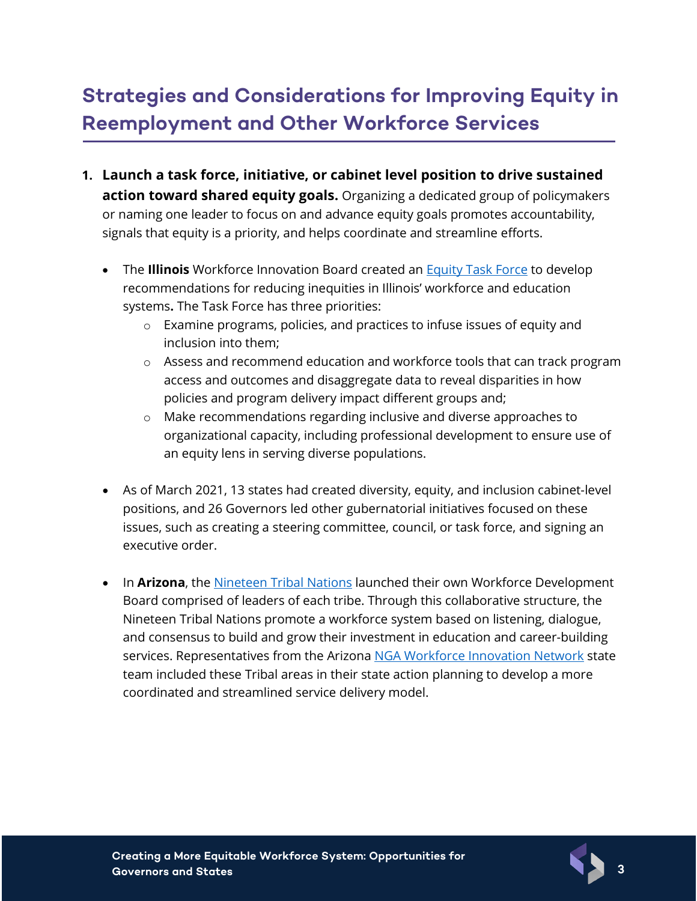## **Strategies and Considerations for Improving Equity in Reemployment and Other Workforce Services**

- **1. Launch a task force, initiative, or cabinet level position to drive sustained action toward shared equity goals.** Organizing a dedicated group of policymakers or naming one leader to focus on and advance equity goals promotes accountability, signals that equity is a priority, and helps coordinate and streamline efforts.
	- The **Illinois** Workforce Innovation Board created an [Equity Task Force](https://apps.illinoisworknet.com/GroupCalendarManagement/Home/Preview/83829fea-6bec-4110-afbb-3d511b1ab839) to develop recommendations for reducing inequities in Illinois' workforce and education systems**.** The Task Force has three priorities:
		- o Examine programs, policies, and practices to infuse issues of equity and inclusion into them;
		- o Assess and recommend education and workforce tools that can track program access and outcomes and disaggregate data to reveal disparities in how policies and program delivery impact different groups and;
		- o Make recommendations regarding inclusive and diverse approaches to organizational capacity, including professional development to ensure use of an equity lens in serving diverse populations.
	- As of March 2021, 13 states had created diversity, equity, and inclusion cabinet-level positions, and 26 Governors led other gubernatorial initiatives focused on these issues, such as creating a steering committee, council, or task force, and signing an executive order.
	- In **Arizona**, the [Nineteen Tribal Nations](http://azntn.org/vision.html) launched their own Workforce Development Board comprised of leaders of each tribe. Through this collaborative structure, the Nineteen Tribal Nations promote a workforce system based on listening, dialogue, and consensus to build and grow their investment in education and career-building services. Representatives from the Arizona [NGA Workforce Innovation Network](http://www.nga.org/win) state team included these Tribal areas in their state action planning to develop a more coordinated and streamlined service delivery model.



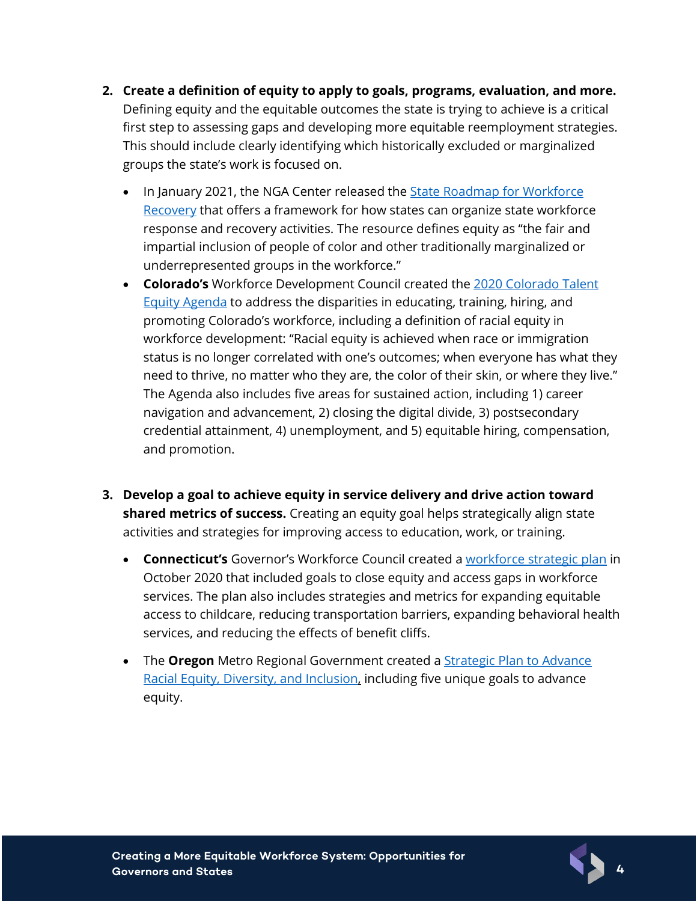- **2. Create a definition of equity to apply to goals, programs, evaluation, and more.**  Defining equity and the equitable outcomes the state is trying to achieve is a critical first step to assessing gaps and developing more equitable reemployment strategies. This should include clearly identifying which historically excluded or marginalized groups the state's work is focused on.
	- In January 2021, the NGA Center released the **State Roadmap for Workforce** [Recovery](https://www.nga.org/wp-content/uploads/2021/01/NGA-State-Roadmap-for-Workforce-Recovery_13Jan2021.pdf) that offers a framework for how states can organize state workforce response and recovery activities. The resource defines equity as "the fair and impartial inclusion of people of color and other traditionally marginalized or underrepresented groups in the workforce."
	- **Colorado's** Workforce Development Council created the [2020 Colorado Talent](https://cwdc.colorado.gov/talent-equity-agenda)  [Equity Agenda](https://cwdc.colorado.gov/talent-equity-agenda) to address the disparities in educating, training, hiring, and promoting Colorado's workforce, including a definition of racial equity in workforce development: "Racial equity is achieved when race or immigration status is no longer correlated with one's outcomes; when everyone has what they need to thrive, no matter who they are, the color of their skin, or where they live." The Agenda also includes five areas for sustained action, including 1) career navigation and advancement, 2) closing the digital divide, 3) postsecondary credential attainment, 4) unemployment, and 5) equitable hiring, compensation, and promotion.
- **3. Develop a goal to achieve equity in service delivery and drive action toward shared metrics of success.** Creating an equity goal helps strategically align state activities and strategies for improving access to education, work, or training.
	- **Connecticut's** Governor's Workforce Council created a [workforce strategic plan](https://portal.ct.gov/-/media/Office-of-the-Governor/News/20201028-Governors-Workforce-Council-Strategic-Plan.pdf) in October 2020 that included goals to close equity and access gaps in workforce services. The plan also includes strategies and metrics for expanding equitable access to childcare, reducing transportation barriers, expanding behavioral health services, and reducing the effects of benefit cliffs.
	- The **Oregon** Metro Regional Government created a [Strategic Plan to Advance](https://www.oregonmetro.gov/sites/default/files/2017/10/05/Strategic-plan-advance-racial-equity-diversity-inclusion-16087-20160613.pdf)  [Racial Equity, Diversity, and Inclusion,](https://www.oregonmetro.gov/sites/default/files/2017/10/05/Strategic-plan-advance-racial-equity-diversity-inclusion-16087-20160613.pdf) including five unique goals to advance equity.

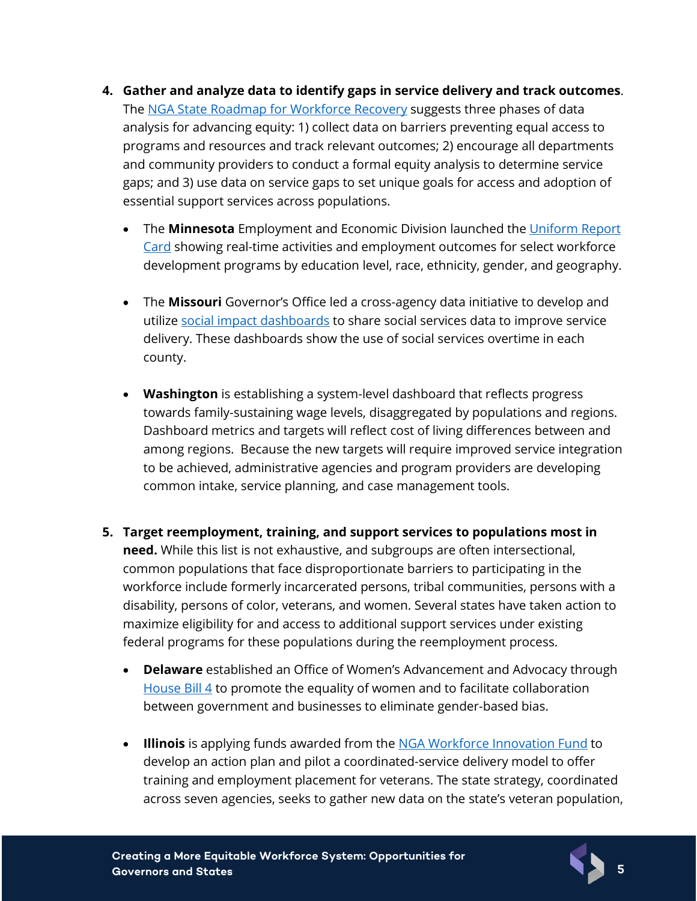- **4. Gather and analyze data to identify gaps in service delivery and track outcomes**. The [NGA State Roadmap for Workforce Recovery](https://www.nga.org/center/publications/roadmap-workforce-recovery/) suggests three phases of data analysis for advancing equity: 1) collect data on barriers preventing equal access to programs and resources and track relevant outcomes; 2) encourage all departments and community providers to conduct a formal equity analysis to determine service gaps; and 3) use data on service gaps to set unique goals for access and adoption of essential support services across populations.
	- The **Minnesota** Employment and Economic Division launched the [Uniform Report](https://mn.gov/deed/about/what-we-do/agency-results/perform-measures/report-card/)  [Card](https://mn.gov/deed/about/what-we-do/agency-results/perform-measures/report-card/) showing real-time activities and employment outcomes for select workforce development programs by education level, race, ethnicity, gender, and geography.
	- The **Missouri** Governor's Office led a cross-agency data initiative to develop and utilize [social impact dashboards](https://health.mo.gov/living/healthcondiseases/communicable/novel-coronavirus/data/) to share social services data to improve service delivery. These dashboards show the use of social services overtime in each county.
	- **Washington** is establishing a system-level dashboard that reflects progress towards family-sustaining wage levels, disaggregated by populations and regions. Dashboard metrics and targets will reflect cost of living differences between and among regions. Because the new targets will require improved service integration to be achieved, administrative agencies and program providers are developing common intake, service planning, and case management tools.
- **5. Target reemployment, training, and support services to populations most in need.** While this list is not exhaustive, and subgroups are often intersectional, common populations that face disproportionate barriers to participating in the workforce include formerly incarcerated persons, tribal communities, persons with a disability, persons of color, veterans, and women. Several states have taken action to maximize eligibility for and access to additional support services under existing federal programs for these populations during the reemployment process.
	- **Delaware** established an Office of Women's Advancement and Advocacy through [House Bill 4](https://legis.delaware.gov/BillDetail?legislationId=25891) to promote the equality of women and to facilitate collaboration between government and businesses to eliminate gender-based bias.
	- **Illinois** is applying funds awarded from the [NGA Workforce Innovation Fund](https://www.nga.org/workforce-innovation-network/) to develop an action plan and pilot a coordinated-service delivery model to offer training and employment placement for veterans. The state strategy, coordinated across seven agencies, seeks to gather new data on the state's veteran population,

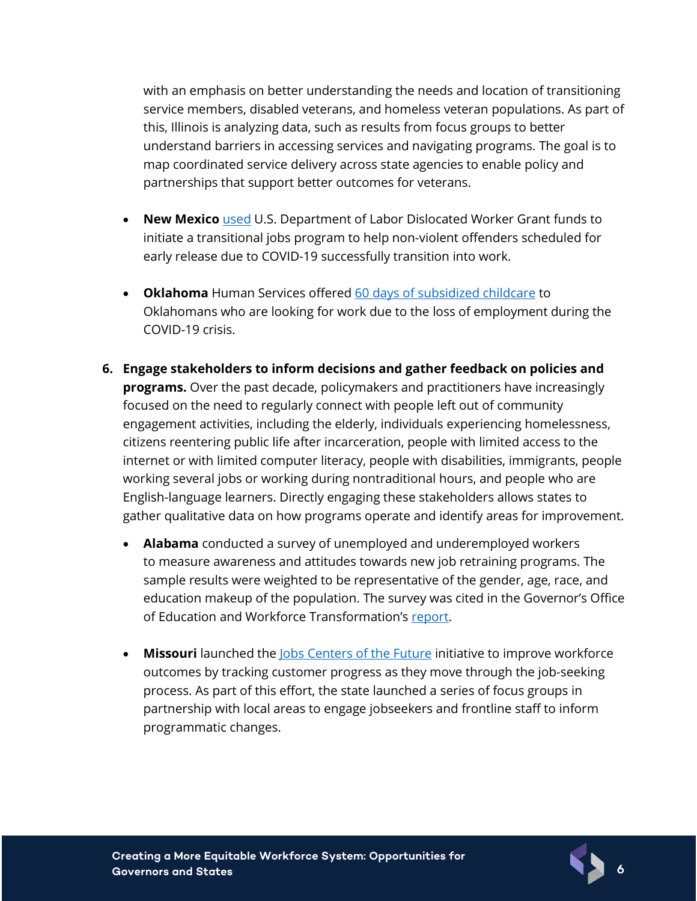with an emphasis on better understanding the needs and location of transitioning service members, disabled veterans, and homeless veteran populations. As part of this, Illinois is analyzing data, such as results from focus groups to better understand barriers in accessing services and navigating programs. The goal is to map coordinated service delivery across state agencies to enable policy and partnerships that support better outcomes for veterans.

- **New Mexico** [used](https://www.governor.state.nm.us/2020/03/26/new-statewide-fund-to-respond-to-covid-19-launches-with-over-1-1-million/) U.S. Department of Labor Dislocated Worker Grant funds to initiate a transitional jobs program to help non-violent offenders scheduled for early release due to COVID-19 successfully transition into work.
- **Oklahoma** Human Services offered [60 days of subsidized childcare](https://oklahoma.gov/okdhs/newsroom/2020/april/comm04242020.html) to Oklahomans who are looking for work due to the loss of employment during the COVID-19 crisis.
- **6. Engage stakeholders to inform decisions and gather feedback on policies and programs.** Over the past decade, policymakers and practitioners have increasingly focused on the need to regularly connect with people left out of community engagement activities, including the elderly, individuals experiencing homelessness, citizens reentering public life after incarceration, people with limited access to the internet or with limited computer literacy, people with disabilities, immigrants, people working several jobs or working during nontraditional hours, and people who are English-language learners. Directly engaging these stakeholders allows states to gather qualitative data on how programs operate and identify areas for improvement.
	- **Alabama** conducted a survey of unemployed and underemployed workers to measure awareness and attitudes towards new job retraining programs. The sample results were weighted to be representative of the gender, age, race, and education makeup of the population. The survey was cited in the Governor's Office of Education and Workforce Transformation's [report.](https://alabamaworks.com/wp-content/uploads/The-Education-and-Workforce-Response-to-the-COVID-19-Pandemic-in-Alabama-07.26.2020.pdf)
	- **Missouri** launched the [Jobs Centers of the Future](https://www.bestinmidwest.com/) initiative to improve workforce outcomes by tracking customer progress as they move through the job-seeking process. As part of this effort, the state launched a series of focus groups in partnership with local areas to engage jobseekers and frontline staff to inform programmatic changes.

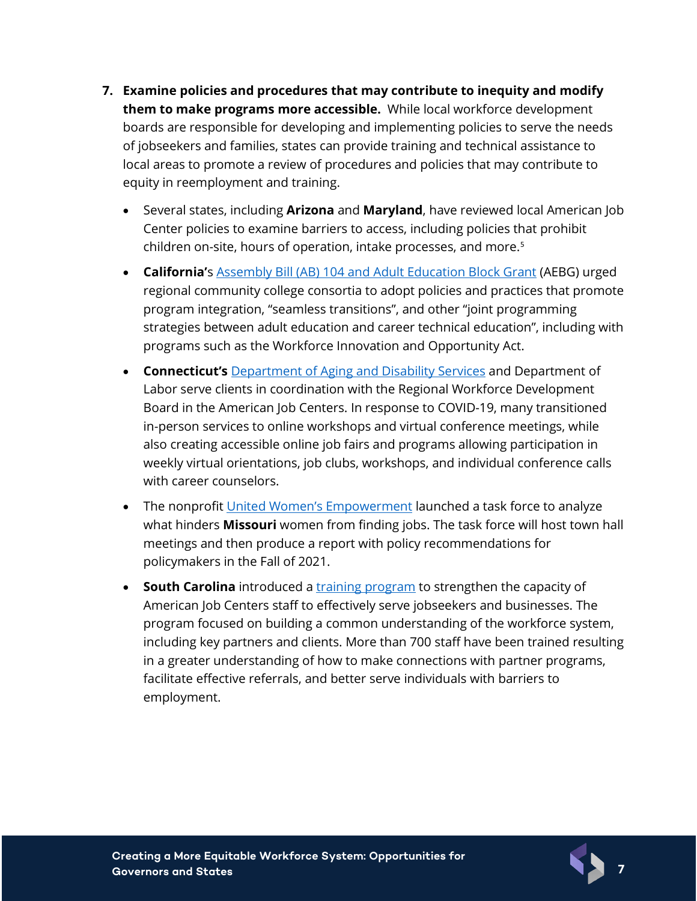- **7. Examine policies and procedures that may contribute to inequity and modify them to make programs more accessible.** While local workforce development boards are responsible for developing and implementing policies to serve the needs of jobseekers and families, states can provide training and technical assistance to local areas to promote a review of procedures and policies that may contribute to equity in reemployment and training.
	- Several states, including **Arizona** and **Maryland**, have reviewed local American Job Center policies to examine barriers to access, including policies that prohibit children on-site, hours of operation, intake processes, and more.<sup>[5](#page-9-4)</sup>
	- **California'**s [Assembly Bill \(AB\) 104 and Adult Education Block Grant](https://www.cde.ca.gov/fg/aa/ca/adultedbg.asp) (AEBG) urged regional community college consortia to adopt policies and practices that promote program integration, "seamless transitions", and other "joint programming strategies between adult education and career technical education", including with programs such as the Workforce Innovation and Opportunity Act.
	- **Connecticut's** [Department of Aging and Disability Services](https://portal.ct.gov/AgingandDisability) and Department of Labor serve clients in coordination with the Regional Workforce Development Board in the American Job Centers. In response to COVID-19, many transitioned in-person services to online workshops and virtual conference meetings, while also creating accessible online job fairs and programs allowing participation in weekly virtual orientations, job clubs, workshops, and individual conference calls with career counselors.
	- The nonprofit [United Women's Empowerment](https://news.stlpublicradio.org/economy-business/2021-06-24/new-missouri-task-force-aims-to-help-women-rejoin-workforce-post-pandemic) launched a task force to analyze what hinders **Missouri** women from finding jobs. The task force will host town hall meetings and then produce a report with policy recommendations for policymakers in the Fall of 2021.
	- **South Carolina** introduced a [training program](https://scworks.org/docs/librariesprovider6/document-directory/south-carolina-py) to strengthen the capacity of American Job Centers staff to effectively serve jobseekers and businesses. The program focused on building a common understanding of the workforce system, including key partners and clients. More than 700 staff have been trained resulting in a greater understanding of how to make connections with partner programs, facilitate effective referrals, and better serve individuals with barriers to employment.

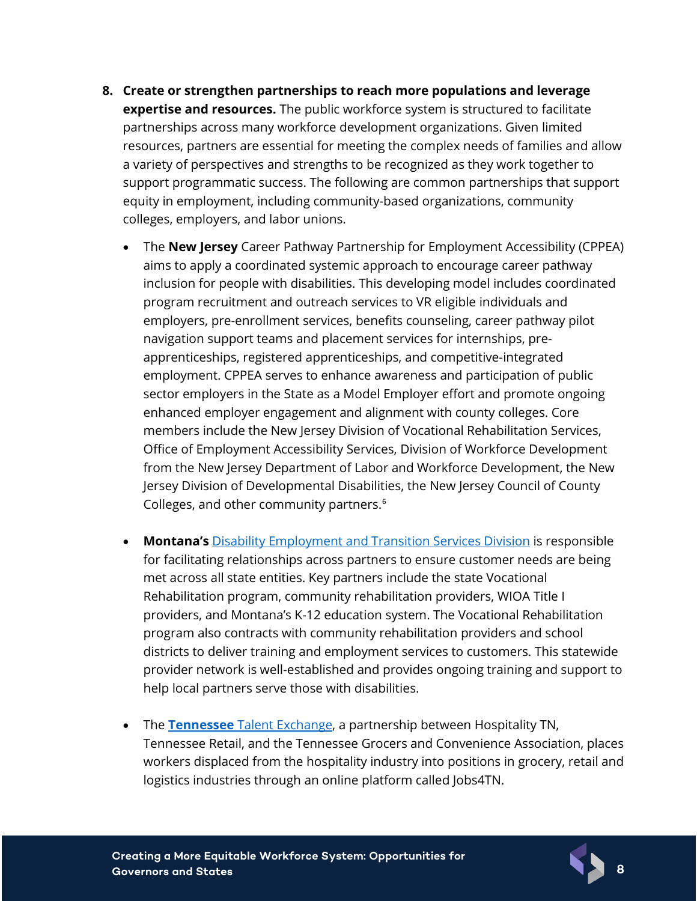- **8. Create or strengthen partnerships to reach more populations and leverage expertise and resources.** The public workforce system is structured to facilitate partnerships across many workforce development organizations. Given limited resources, partners are essential for meeting the complex needs of families and allow a variety of perspectives and strengths to be recognized as they work together to support programmatic success. The following are common partnerships that support equity in employment, including community-based organizations, community colleges, employers, and labor unions.
	- The **New Jersey** Career Pathway Partnership for Employment Accessibility (CPPEA) aims to apply a coordinated systemic approach to encourage career pathway inclusion for people with disabilities. This developing model includes coordinated program recruitment and outreach services to VR eligible individuals and employers, pre-enrollment services, benefits counseling, career pathway pilot navigation support teams and placement services for internships, preapprenticeships, registered apprenticeships, and competitive-integrated employment. CPPEA serves to enhance awareness and participation of public sector employers in the State as a Model Employer effort and promote ongoing enhanced employer engagement and alignment with county colleges. Core members include the New Jersey Division of Vocational Rehabilitation Services, Office of Employment Accessibility Services, Division of Workforce Development from the New Jersey Department of Labor and Workforce Development, the New Jersey Division of Developmental Disabilities, the New Jersey Council of County Colleges, and other community partners.<sup>[6](#page-9-5)</sup>
	- **Montana's** [Disability Employment and Transition Services Division](https://dphhs.mt.gov/detd) is responsible for facilitating relationships across partners to ensure customer needs are being met across all state entities. Key partners include the state Vocational Rehabilitation program, community rehabilitation providers, WIOA Title I providers, and Montana's K-12 education system. The Vocational Rehabilitation program also contracts with community rehabilitation providers and school districts to deliver training and employment services to customers. This statewide provider network is well-established and provides ongoing training and support to help local partners serve those with disabilities.
	- The **Tennessee** [Talent Exchange,](https://www.tn.gov/workforce/covid-19/jobs.html) a partnership between Hospitality TN, Tennessee Retail, and the Tennessee Grocers and Convenience Association, places workers displaced from the hospitality industry into positions in grocery, retail and logistics industries through an online platform called Jobs4TN.

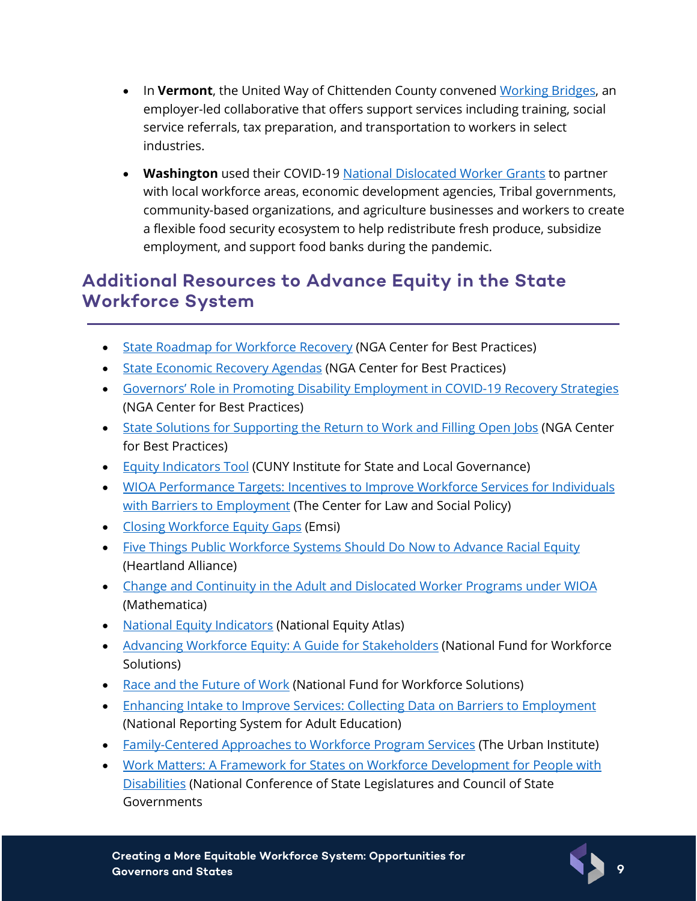- In **Vermont**, the United Way of Chittenden County convened [Working](https://unitedwaynwvt.org/workingbridges) Bridges, an employer-led collaborative that offers support services including training, social service referrals, tax preparation, and transportation to workers in select industries.
- **Washington** used their COVID-19 [National Dislocated Worker Grants](https://www.dol.gov/sites/dolgov/files/ETA/DWGs/pdfs/50-covid-wa-disaster-2020.pdf) to partner with local workforce areas, economic development agencies, Tribal governments, community-based organizations, and agriculture businesses and workers to create a flexible food security ecosystem to help redistribute fresh produce, subsidize employment, and support food banks during the pandemic.

#### **Additional Resources to Advance Equity in the State Workforce System**

- [State Roadmap for Workforce Recovery](https://www.nga.org/wp-content/uploads/2021/01/NGA-State-Roadmap-for-Workforce-Recovery_13Jan2021.pdf) (NGA Center for Best Practices)
- [State Economic Recovery Agendas](https://www.nga.org/wp-content/uploads/2021/02/State-Economic-Recovery-Agendas.pdf) (NGA Center for Best Practices)
- [Governors' Role in Promoting Disability Employment in COVID-19 Recovery Strategies](https://www.nga.org/center/publications/governors-role-in-promoting-disability-employment-in-covid-19-recovery-strategies/) (NGA Center for Best Practices)
- [State Solutions for Supporting the Return to](https://www.nga.org/wp-content/uploads/2021/05/NGA-memo-State-Solutions-Barriers-to-Return-to-Work.pdf) Work and Filling Open Jobs (NGA Center for Best Practices)
- [Equity Indicators Tool](https://equityindicators.org/) (CUNY Institute for State and Local Governance)
- [WIOA Performance Targets: Incentives to Improve Workforce Services for Individuals](https://www.clasp.org/publications/fact-sheet/wioa-performance-targets-incentives-improve-workforce-services-individuals)  [with Barriers to Employment](https://www.clasp.org/publications/fact-sheet/wioa-performance-targets-incentives-improve-workforce-services-individuals) (The Center for Law and Social Policy)
- [Closing Workforce Equity Gaps](https://www.economicmodeling.com/2020/09/21/closing-workforce-equity-gaps/) (Emsi)
- [Five Things Public Workforce Systems Should Do Now to Advance Racial Equity](https://www.heartlandalliance.org/five-things-public-workforce-systems-should-do-now-to-advance-racial-equity/) (Heartland Alliance)
- [Change and Continuity in the Adult and Dislocated Worker Programs under WIOA](https://ngaorg1.sharepoint.com/Center/EO/Shared%20Documents/WORKFORCE%20DEVELOPMENT%20&%20ECONOMIC%20POLICY/NGA%20Workforce%20Innovation%20Network/Innovation%20Fund%20Round%201/Technical%20Assistance%20Planning/Equity%20Resources/%E2%80%A2%09https:/www.dol.gov/sites/dolgov/files/OASP/evaluation/pdf/ETA_WIOAStudy_AdultDW.pdf) (Mathematica)
- [National Equity Indicators](https://nationalequityatlas.org/indicators) (National Equity Atlas)
- [Advancing Workforce Equity: A Guide for Stakeholders](https://nationalfund.org/workforce-equity-guide/) (National Fund for Workforce Solutions)
- [Race and the Future of Work](https://ngaorg1-my.sharepoint.com/:p:/r/personal/ngabox_nga_org/_layouts/15/Doc.aspx?sourcedoc=%7B53BF5AE9-378C-41C1-B8C2-D7A11F938C7B%7D&file=Maher-Maher_Advancing%20Equity%20Slides.pptx&action=edit&mobileredirect=true&wdLOR=c40769904-D851-410F-977F-3B1AAB0DD0D7&cid=bb4d2594-7e7f-4867-a6b5-07ce346d9c53) (National Fund for Workforce Solutions)
- [Enhancing Intake to Improve Services: Collecting Data on Barriers to Employment](https://nrsweb.org/sites/default/files/BarrierEmployTipSheet-508.pdf) (National Reporting System for Adult Education)
- [Family-Centered Approaches to Workforce Program Services](https://www.urban.org/sites/default/files/publication/97426/family-centered_approaches_to_workforce_program_services_4.pdf) (The Urban Institute)
- [Work Matters: A Framework for States on Workforce Development for People with](https://issuu.com/csg.publications/docs/seed_report_2016_web)  [Disabilities](https://issuu.com/csg.publications/docs/seed_report_2016_web) (National Conference of State Legislatures and Council of State **Governments**